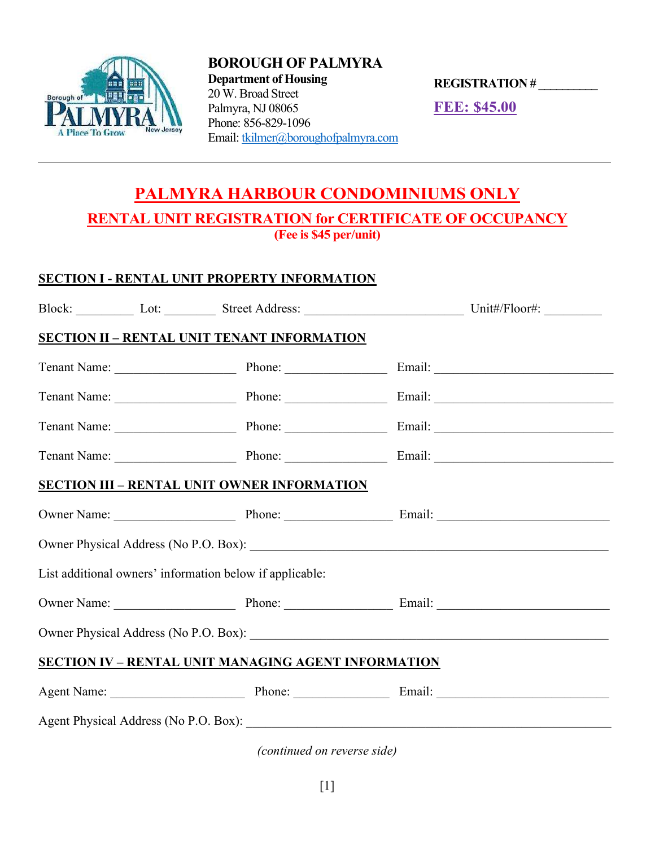

BOROUGH OF PALMYRA Department of Housing 20 W. Broad Street Palmyra, NJ 08065 Phone: 856-829-1096 Email: tkilmer@boroughofpalmyra.com

REGISTRATION # \_\_\_\_\_\_\_\_\_\_

FEE: \$45.00

## PALMYRA HARBOUR CONDOMINIUMS ONLY RENTAL UNIT REGISTRATION for CERTIFICATE OF OCCUPANCY (Fee is \$45 per/unit)

## SECTION I - RENTAL UNIT PROPERTY INFORMATION

| <b>Block:</b> | .ot: | Street Address: | Init#/Floor# |
|---------------|------|-----------------|--------------|
|               |      |                 |              |

## SECTION II – RENTAL UNIT TENANT INFORMATION

|                                                            |  | Tenant Name: Phone: Phone: Email: Email: |  |  |  |  |
|------------------------------------------------------------|--|------------------------------------------|--|--|--|--|
|                                                            |  | Tenant Name: Phone: Phone: Email: Email: |  |  |  |  |
|                                                            |  | Tenant Name: Phone: Phone: Email: Email: |  |  |  |  |
|                                                            |  | Tenant Name: Phone: Phone: Email: Email: |  |  |  |  |
| <b>SECTION III - RENTAL UNIT OWNER INFORMATION</b>         |  |                                          |  |  |  |  |
|                                                            |  | Owner Name: Phone: Phone: Email: Email:  |  |  |  |  |
|                                                            |  |                                          |  |  |  |  |
| List additional owners' information below if applicable:   |  |                                          |  |  |  |  |
|                                                            |  | Owner Name: Phone: Phone: Email: Email:  |  |  |  |  |
|                                                            |  |                                          |  |  |  |  |
| <b>SECTION IV - RENTAL UNIT MANAGING AGENT INFORMATION</b> |  |                                          |  |  |  |  |
|                                                            |  | Agent Name: Phone: Phone: Email:         |  |  |  |  |
| Agent Physical Address (No P.O. Box):                      |  |                                          |  |  |  |  |

(continued on reverse side)